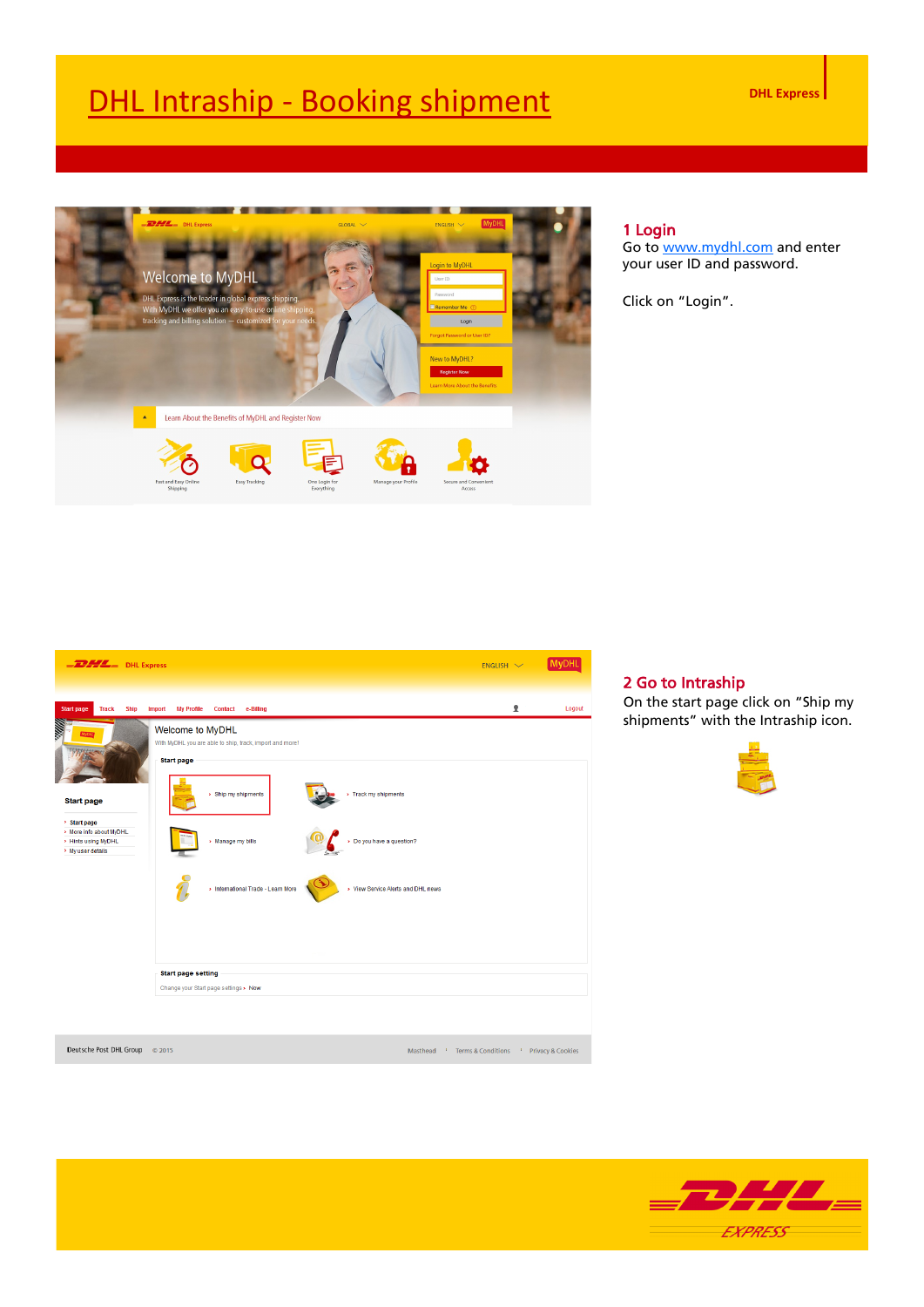

#### 1 Login

Go to [www.mydhl.com](http://www.mydhl.com/) and enter your user ID and password.

Click on "Login".



#### 2 Go to Intraship

On the start page click on "Ship my shipments" with the Intraship icon.



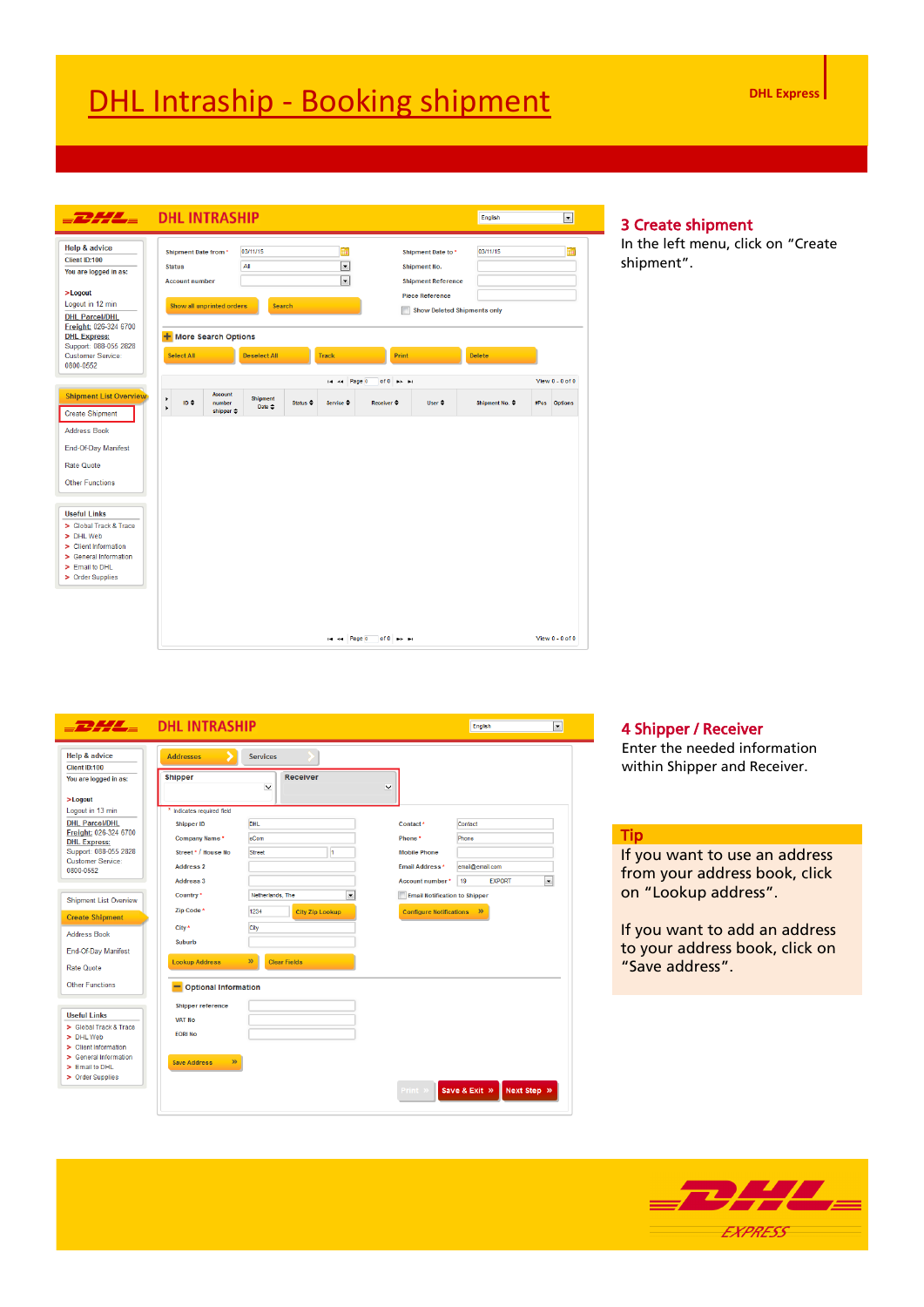| Help & advice                                | <b>Shipment Date from *</b> |                                                | 03/11/15                             |                          | 鼺                        |                                            | Shipment Date to *                 | 03/11/15       |             | m                   |
|----------------------------------------------|-----------------------------|------------------------------------------------|--------------------------------------|--------------------------|--------------------------|--------------------------------------------|------------------------------------|----------------|-------------|---------------------|
| Client ID:100                                |                             |                                                |                                      |                          |                          |                                            |                                    |                |             |                     |
| You are logged in as:                        | <b>Status</b>               |                                                | All                                  |                          | ᅱ                        |                                            | <b>Shipment No.</b>                |                |             |                     |
| $>$ Logout                                   | <b>Account number</b>       |                                                |                                      |                          | $\overline{\phantom{a}}$ |                                            | <b>Shipment Reference</b>          |                |             |                     |
| Logout in 12 min                             | Show all unprinted orders   |                                                | Search                               |                          |                          |                                            | <b>Piece Reference</b>             |                |             |                     |
| <b>DHL Parcel/DHL</b>                        |                             |                                                |                                      |                          |                          |                                            | <b>Show Deleted Shipments only</b> |                |             |                     |
| Freight: 026-324 6700                        |                             |                                                |                                      |                          |                          |                                            |                                    |                |             |                     |
| <b>DHL Express:</b><br>Support: 088-055 2828 | + More Search Options       |                                                |                                      |                          |                          |                                            |                                    |                |             |                     |
| <b>Customer Service:</b>                     | <b>Select All</b>           |                                                | <b>Deselect All</b>                  |                          | <b>Track</b>             |                                            | Print                              | <b>Delete</b>  |             |                     |
| 0800-0552                                    |                             |                                                |                                      |                          |                          |                                            |                                    |                |             |                     |
|                                              |                             |                                                |                                      |                          | Page 0<br>4.4            | of $0 \rightarrow \rightarrow \rightarrow$ |                                    |                |             | View $0 - 0$ of $0$ |
| <b>Shipment List Overview</b>                | ٠<br>ID ¢<br>¥              | Account<br>number<br>shipper $\Leftrightarrow$ | <b>Shipment</b><br>Date $\triangleq$ | Status $\Leftrightarrow$ | Service $\Rightarrow$    | $Receiver =$                               | User $\triangleq$                  | Shipment No. ≑ | <b>#Pcs</b> | <b>Options</b>      |
| <b>Create Shipment</b>                       |                             |                                                |                                      |                          |                          |                                            |                                    |                |             |                     |
|                                              |                             |                                                |                                      |                          |                          |                                            |                                    |                |             |                     |
| <b>Address Book</b>                          |                             |                                                |                                      |                          |                          |                                            |                                    |                |             |                     |
| End-Of-Day Manifest                          |                             |                                                |                                      |                          |                          |                                            |                                    |                |             |                     |
| <b>Rate Quote</b>                            |                             |                                                |                                      |                          |                          |                                            |                                    |                |             |                     |
|                                              |                             |                                                |                                      |                          |                          |                                            |                                    |                |             |                     |
| <b>Other Functions</b>                       |                             |                                                |                                      |                          |                          |                                            |                                    |                |             |                     |
|                                              |                             |                                                |                                      |                          |                          |                                            |                                    |                |             |                     |
| <b>Useful Links</b>                          |                             |                                                |                                      |                          |                          |                                            |                                    |                |             |                     |
| > Global Track & Trace                       |                             |                                                |                                      |                          |                          |                                            |                                    |                |             |                     |
| > DHL Web<br>> Client Information            |                             |                                                |                                      |                          |                          |                                            |                                    |                |             |                     |
| > General Information                        |                             |                                                |                                      |                          |                          |                                            |                                    |                |             |                     |
| > Email to DHL                               |                             |                                                |                                      |                          |                          |                                            |                                    |                |             |                     |
| > Order Supplies                             |                             |                                                |                                      |                          |                          |                                            |                                    |                |             |                     |
|                                              |                             |                                                |                                      |                          |                          |                                            |                                    |                |             |                     |
|                                              |                             |                                                |                                      |                          |                          |                                            |                                    |                |             |                     |

### 3 Create shipment

In the left menu, click on "Create shipment".

| <b>Help &amp; advice</b>                      | <b>Addresses</b><br>D          | <b>Services</b>                     |                          |                                      |                 |               |                          |
|-----------------------------------------------|--------------------------------|-------------------------------------|--------------------------|--------------------------------------|-----------------|---------------|--------------------------|
| Client ID:100                                 |                                |                                     |                          |                                      |                 |               |                          |
| You are logged in as:                         | <b>Shipper</b>                 | <b>Receiver</b><br>$\checkmark$     | $\overline{\phantom{0}}$ |                                      |                 |               |                          |
| $>$ Loqout                                    |                                |                                     |                          |                                      |                 |               |                          |
| Logout in 13 min                              | Indicates required field       |                                     |                          |                                      |                 |               |                          |
| <b>DHL Parcel/DHL</b>                         | <b>Shipper ID</b>              | <b>DHL</b>                          |                          | Contact <sup>*</sup>                 | Contact         |               |                          |
| Freight: 026-324 6700<br><b>DHL Express:</b>  | Company Name *                 | eCom                                |                          | Phone *                              | Phone           |               |                          |
| Support: 088-055 2828                         | Street* / House No             | <b>Street</b><br>H.                 |                          | <b>Mobile Phone</b>                  |                 |               |                          |
| Customer Service:<br>0800-0552                | <b>Address 2</b>               |                                     |                          | <b>Email Address *</b>               | email@email.com |               |                          |
|                                               | <b>Address 3</b>               |                                     |                          | Account number*                      | 19              | <b>EXPORT</b> | $\overline{\phantom{a}}$ |
|                                               | Country *                      | ▼<br>Netherlands, The               |                          | <b>Email Notification to Shipper</b> |                 |               |                          |
| <b>Shipment List Overview</b>                 | Zip Code <sup>*</sup>          | 1234                                |                          |                                      |                 |               |                          |
| <b>Create Shipment</b>                        |                                | <b>City Zip Lookup</b>              |                          | <b>Configure Notifications</b>       | $\gg$           |               |                          |
| <b>Address Book</b>                           | City *                         | City                                |                          |                                      |                 |               |                          |
|                                               | <b>Suburb</b>                  |                                     |                          |                                      |                 |               |                          |
| End-Of-Day Manifest                           |                                | $\mathbf{p}$<br><b>Clear Fields</b> |                          |                                      |                 |               |                          |
| <b>Rate Quote</b>                             | <b>Lookup Address</b>          |                                     |                          |                                      |                 |               |                          |
| <b>Other Functions</b>                        | Optional Information           |                                     |                          |                                      |                 |               |                          |
|                                               | <b>Shipper reference</b>       |                                     |                          |                                      |                 |               |                          |
| <b>Useful Links</b>                           | <b>VAT No</b>                  |                                     |                          |                                      |                 |               |                          |
| > Global Track & Trace                        | <b>EORI No</b>                 |                                     |                          |                                      |                 |               |                          |
| > DHL Web                                     |                                |                                     |                          |                                      |                 |               |                          |
| > Client Information<br>> General Information |                                |                                     |                          |                                      |                 |               |                          |
| > Email to DHL                                | $\mathfrak{B}$<br>Save Address |                                     |                          |                                      |                 |               |                          |
|                                               |                                |                                     |                          |                                      |                 |               |                          |
| > Order Supplies                              |                                |                                     |                          |                                      |                 |               |                          |

#### 4 Shipper / Receiver

Enter the needed information within Shipper and Receiver.

#### Tip

If you want to use an address from your address book, click on "Lookup address".

If you want to add an address to your address book, click on "Save address".

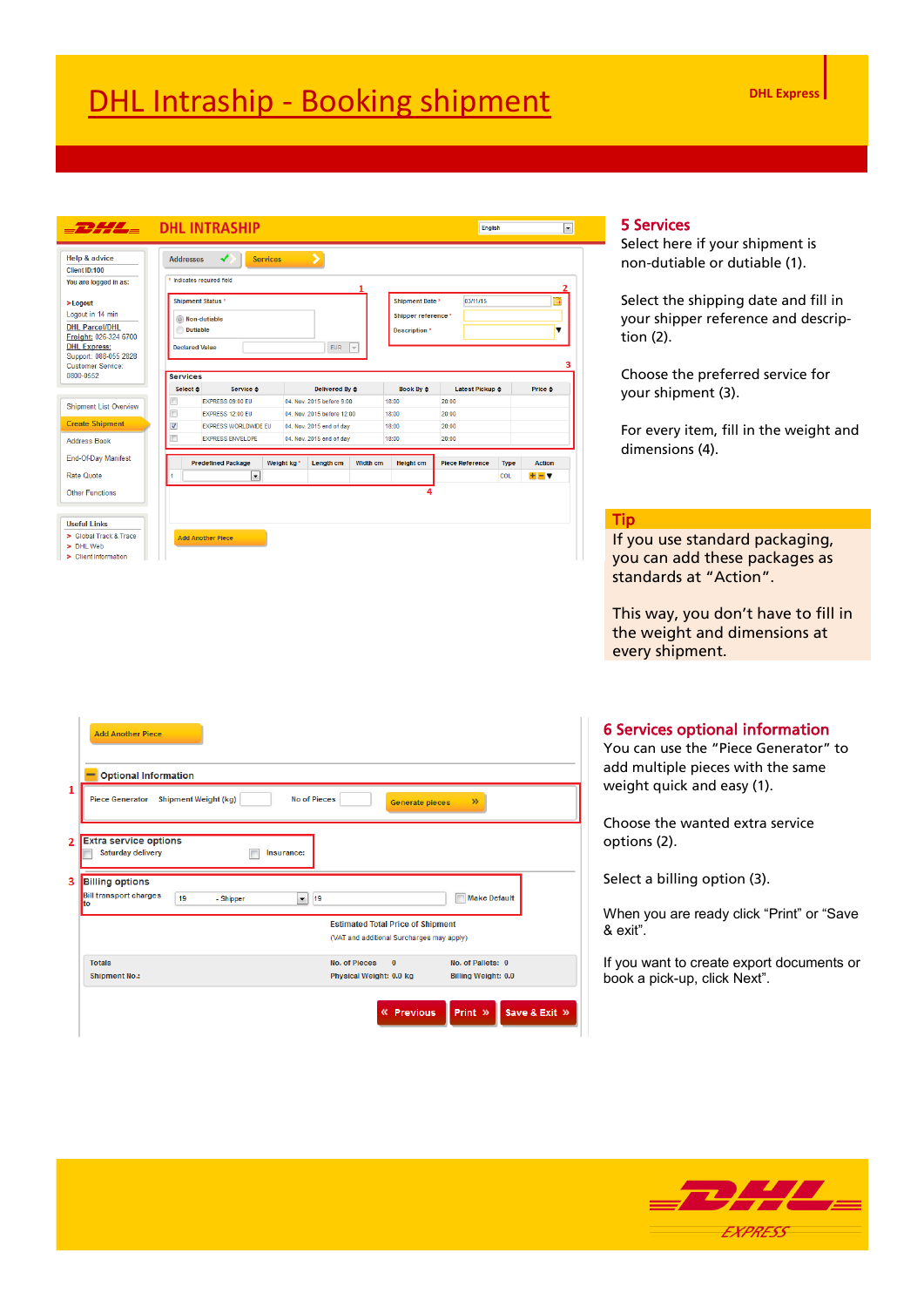| <b>Help &amp; advice</b>       | <b>Addresses</b>        | ◢                                 | <b>Services</b>        | 5                          |                 |                     |                         |             |               |
|--------------------------------|-------------------------|-----------------------------------|------------------------|----------------------------|-----------------|---------------------|-------------------------|-------------|---------------|
| Client ID:100                  |                         |                                   |                        |                            |                 |                     |                         |             |               |
| You are logged in as:          |                         | * Indicates required field        |                        |                            |                 |                     |                         |             |               |
| $>$ Logout                     |                         | <b>Shipment Status*</b>           |                        |                            |                 | Shipment Date *     | 03/11/15                |             | m             |
| Logout in 14 min               |                         |                                   |                        |                            |                 | Shipper reference * |                         |             |               |
| <b>DHL Parcel/DHL</b>          |                         | C Non-dutiable<br><b>Dutiable</b> |                        |                            |                 |                     |                         |             | ▼             |
| Freight: 026-324 6700          |                         |                                   |                        |                            |                 | Description *       |                         |             |               |
| <b>DHL Express:</b>            |                         | <b>Declared Value</b>             |                        | <b>EUR</b>                 | $\vert \nabla$  |                     |                         |             |               |
| Support: 088-055 2828          |                         |                                   |                        |                            |                 |                     |                         |             |               |
| Customer Service:<br>0800-0552 | <b>Services</b>         |                                   |                        |                            |                 |                     |                         |             |               |
|                                | Select $\triangle$      | Service ≙                         |                        | <b>Delivered By ≙</b>      |                 | Book By $\div$      | Latest Pickup $\hat{=}$ |             | Price ≙       |
|                                | $\Box$                  | <b>EXPRESS 09:00 FU</b>           |                        | 04 Nov 2015 before 9:00    |                 | 18:00               | 20:00                   |             |               |
| <b>Shipment List Overview</b>  | $\Box$                  | EXPRESS 12:00 EU                  |                        | 04. Nov. 2015 before 12:00 |                 | 18:00               | 20:00                   |             |               |
| <b>Create Shipment</b>         | $\overline{\mathbf{v}}$ | <b>EXPRESS WORLDWIDE EU</b>       |                        | 04. Nov. 2015 end of day   |                 | 18:00               | 20:00                   |             |               |
| <b>Address Book</b>            | г                       | <b>EXPRESS ENVELOPE</b>           |                        | 04. Nov. 2015 end of day   |                 | 18:00               | 20:00                   |             |               |
|                                |                         |                                   |                        |                            |                 |                     |                         |             |               |
| End-Of-Day Manifest            |                         | <b>Predefined Package</b>         | Weight kg <sup>*</sup> | Length cm                  | <b>Width cm</b> | <b>Height cm</b>    | <b>Piece Reference</b>  | <b>Type</b> | <b>Action</b> |
|                                |                         | $\overline{\phantom{a}}$          |                        |                            |                 |                     |                         | <b>COL</b>  | $+ - +$       |
|                                |                         |                                   |                        |                            |                 |                     |                         |             |               |
| <b>Rate Quote</b>              |                         |                                   |                        |                            |                 |                     |                         |             |               |
| <b>Other Functions</b>         |                         |                                   |                        |                            |                 |                     |                         |             |               |
|                                |                         |                                   |                        |                            |                 |                     |                         |             |               |
| <b>Useful Links</b>            |                         |                                   |                        |                            |                 |                     |                         |             |               |

### 5 Services

Select here if your shipment is non-dutiable or dutiable (1).

Select the shipping date and fill in your shipper reference and description (2).

Choose the preferred service for your shipment (3).

For every item, fill in the weight and dimensions (4).

#### Tip

If you use standard packaging, you can add these packages as standards at "Action".

This way, you don't have to fill in the weight and dimensions at every shipment.

#### 6 Services optional information

You can use the "Piece Generator" to add multiple pieces with the same weight quick and easy (1).

Choose the wanted extra service options (2).

Select a billing option (3).

When you are ready click "Print" or "Save & exit".

If you want to create export documents or book a pick-up, click Next".

|                                                                                                                                                             | <b>Add Another Piece</b>                                                                                                                             |  |  |  |  |  |
|-------------------------------------------------------------------------------------------------------------------------------------------------------------|------------------------------------------------------------------------------------------------------------------------------------------------------|--|--|--|--|--|
| <b>Optional Information</b><br>1<br><b>Shipment Weight (kg)</b><br><b>Piece Generator</b><br><b>No of Pieces</b><br>$\mathcal{D}$<br><b>Generate pieces</b> |                                                                                                                                                      |  |  |  |  |  |
| $\overline{2}$                                                                                                                                              | <b>Extra service options</b><br><b>Saturday delivery</b><br>Insurance:                                                                               |  |  |  |  |  |
| 3                                                                                                                                                           | <b>Billing options</b><br><b>Bill transport charges</b><br><b>Make Default</b><br>$\overline{\phantom{a}}$<br>19<br>19<br>- Shipper<br>to            |  |  |  |  |  |
|                                                                                                                                                             | <b>Estimated Total Price of Shipment</b><br>(VAT and additional Surcharges may apply)                                                                |  |  |  |  |  |
|                                                                                                                                                             | <b>Totals</b><br>No. of Pieces<br>$\mathbf{0}$<br>No. of Pallets: 0<br><b>Shipment No.:</b><br>Physical Weight: 0.0 kg<br><b>Billing Weight: 0.0</b> |  |  |  |  |  |
|                                                                                                                                                             | Save & Exit »<br>« Previous<br>Print »                                                                                                               |  |  |  |  |  |

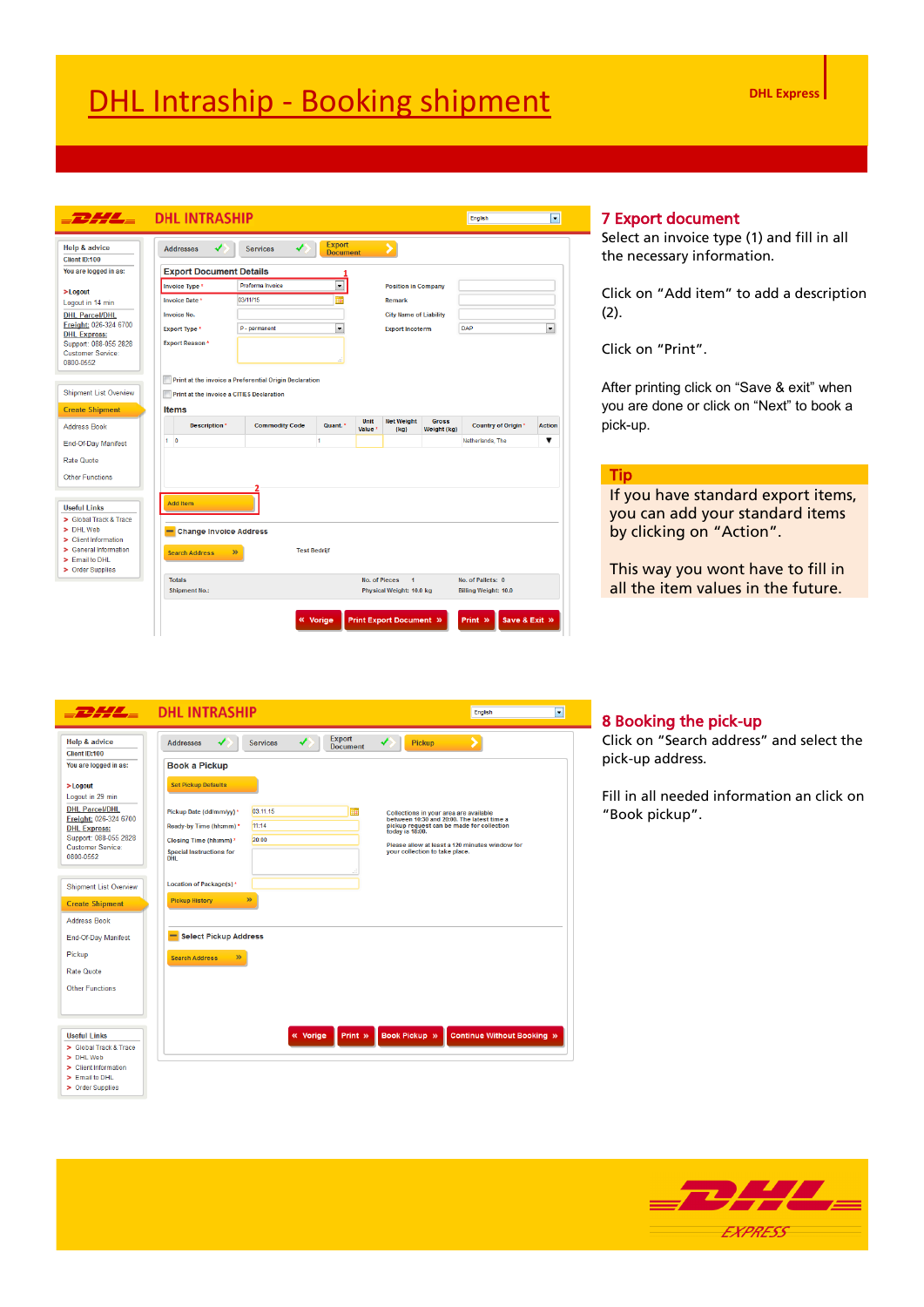| Client ID:100                                     | <b>Addresses</b>                      | <b>Services</b>                                        | <b>Export</b><br><b>Document</b> |                            |                                                                   |                             |                                                  |                          |
|---------------------------------------------------|---------------------------------------|--------------------------------------------------------|----------------------------------|----------------------------|-------------------------------------------------------------------|-----------------------------|--------------------------------------------------|--------------------------|
| You are logged in as:                             | <b>Export Document Details</b>        |                                                        |                                  |                            |                                                                   |                             |                                                  |                          |
| $>$ Logout                                        | Invoice Type *                        | Proforma Invoice                                       | $\overline{\phantom{a}}$         |                            | <b>Position in Company</b>                                        |                             |                                                  |                          |
| Logout in 14 min                                  | Invoice Date *                        | 03/11/15                                               | a.                               |                            | Remark                                                            |                             |                                                  |                          |
| <b>DHL Parcel/DHL</b>                             | <b>Invoice No.</b>                    |                                                        |                                  |                            | <b>City Name of Liability</b>                                     |                             |                                                  |                          |
| Freight: 026-324 6700                             | <b>Export Type *</b>                  | P - permanent                                          | $\overline{\phantom{a}}$         |                            | <b>Export Incoterm</b>                                            |                             | DAP                                              | $\overline{\phantom{0}}$ |
| <b>DHL Express:</b>                               | <b>Export Reason*</b>                 |                                                        |                                  |                            |                                                                   |                             |                                                  |                          |
| Support: 088-055 2828<br><b>Customer Service:</b> |                                       |                                                        |                                  |                            |                                                                   |                             |                                                  |                          |
| 0800-0552                                         |                                       |                                                        | лÍ.                              |                            |                                                                   |                             |                                                  |                          |
|                                                   |                                       | Print at the invoice a Preferential Origin Declaration |                                  |                            |                                                                   |                             |                                                  |                          |
| <b>Shipment List Overview</b>                     |                                       |                                                        |                                  |                            |                                                                   |                             |                                                  |                          |
|                                                   |                                       | Print at the invoice a CITIES Declaration              |                                  |                            |                                                                   |                             |                                                  |                          |
| <b>Create Shipment</b>                            | <b>Items</b>                          |                                                        |                                  |                            |                                                                   |                             |                                                  |                          |
| <b>Address Book</b>                               | Description *                         | <b>Commodity Code</b>                                  | Quant. *                         | Unit<br>Value <sup>*</sup> | <b>Net Weight</b><br>(kq)                                         | <b>Gross</b><br>Weight (kg) | Country of Origin*                               | <b>Action</b>            |
| End-Of-Day Manifest                               | 1 <sub>0</sub>                        |                                                        | 1                                |                            |                                                                   |                             | Netherlands, The                                 | ▼                        |
| <b>Rate Quote</b>                                 |                                       |                                                        |                                  |                            |                                                                   |                             |                                                  |                          |
|                                                   |                                       |                                                        |                                  |                            |                                                                   |                             |                                                  |                          |
| <b>Other Functions</b>                            |                                       |                                                        |                                  |                            |                                                                   |                             |                                                  |                          |
|                                                   |                                       |                                                        |                                  |                            |                                                                   |                             |                                                  |                          |
|                                                   | <b>Add Item</b>                       |                                                        |                                  |                            |                                                                   |                             |                                                  |                          |
| <b>Useful Links</b>                               |                                       |                                                        |                                  |                            |                                                                   |                             |                                                  |                          |
| > Global Track & Trace                            |                                       |                                                        |                                  |                            |                                                                   |                             |                                                  |                          |
| > DHL Web                                         | - Change Invoice Address              |                                                        |                                  |                            |                                                                   |                             |                                                  |                          |
| > Client Information<br>> General Information     |                                       |                                                        |                                  |                            |                                                                   |                             |                                                  |                          |
| > Email to DHL                                    | <b>Search Address</b>                 | $\mathcal{P}$                                          | <b>Test Bedriif</b>              |                            |                                                                   |                             |                                                  |                          |
| > Order Supplies                                  |                                       |                                                        |                                  |                            |                                                                   |                             |                                                  |                          |
|                                                   | <b>Totals</b><br><b>Shipment No.:</b> |                                                        |                                  |                            | No. of Pieces<br>$\blacktriangleleft$<br>Physical Weight: 10.0 kg |                             | No. of Pallets: 0<br><b>Billing Weight: 10.0</b> |                          |

#### 7 Export document

Select an invoice type (1) and fill in all the necessary information.

Click on "Add item" to add a description (2).

Click on "Print".

After printing click on "Save & exit" when you are done or click on "Next" to book a pick-up.

#### Tip

If you have standard export items, you can add your standard items by clicking on "Action".

This way you wont have to fill in all the item values in the future.

|                                              | $E = 1$ DHL INTRASHIP                                                                                                                          | $\overline{\phantom{0}}$<br><b>English</b>     |
|----------------------------------------------|------------------------------------------------------------------------------------------------------------------------------------------------|------------------------------------------------|
| <b>Help &amp; advice</b><br>Client ID:100    | <b>Export</b><br><b>Services</b><br>Pickup<br><b>Addresses</b><br><b>Document</b>                                                              |                                                |
| You are logged in as:                        | <b>Book a Pickup</b>                                                                                                                           |                                                |
| $>$ Logout<br>Logout in 29 min               | <b>Set Pickup Defaults</b>                                                                                                                     |                                                |
| <b>DHL Parcel/DHL</b>                        | 03 11 15<br>鬸<br>Pickup Date (dd/mm/yy) *<br>Collections in your area are available                                                            |                                                |
| Freight: 026-324 6700<br><b>DHL Express:</b> | between 10:30 and 20:00. The latest time a<br>11:14<br>pickup request can be made for collection<br>Ready-by Time (hh:mm) *<br>today is 18:00. |                                                |
| Support: 088-055 2828                        | 20:00<br>Closing Time (hh:mm) *                                                                                                                | Please allow at least a 120 minutes window for |
| Customer Service:<br>0800-0552               | <b>Special Instructions for</b><br>your collection to take place.<br><b>DHL</b>                                                                |                                                |
|                                              |                                                                                                                                                |                                                |
| <b>Shipment List Overview</b>                | Location of Package(s)*                                                                                                                        |                                                |
| <b>Create Shipment</b>                       | $\mathbf{v}$<br><b>Pickup History</b>                                                                                                          |                                                |
| <b>Address Book</b>                          |                                                                                                                                                |                                                |
| End-Of-Day Manifest                          | -<br><b>Select Pickup Address</b>                                                                                                              |                                                |
| Pickup                                       | $\mathcal{D}$<br><b>Search Address</b>                                                                                                         |                                                |
| Rate Quote                                   |                                                                                                                                                |                                                |
| Other Functions                              |                                                                                                                                                |                                                |
|                                              |                                                                                                                                                |                                                |
|                                              |                                                                                                                                                |                                                |
| <b>Useful Links</b>                          | <b>Book Pickup »</b><br>« Vorige<br>Print »                                                                                                    | <b>Continue Without Booking »</b>              |
| > Global Track & Trace                       |                                                                                                                                                |                                                |
| > DHL Web                                    |                                                                                                                                                |                                                |
| > Client Information                         |                                                                                                                                                |                                                |
| > Email to DHL                               |                                                                                                                                                |                                                |
| > Order Supplies                             |                                                                                                                                                |                                                |

#### 8 Booking the pick-up

Click on "Search address" and select the pick-up address.

Fill in all needed information an click on "Book pickup".